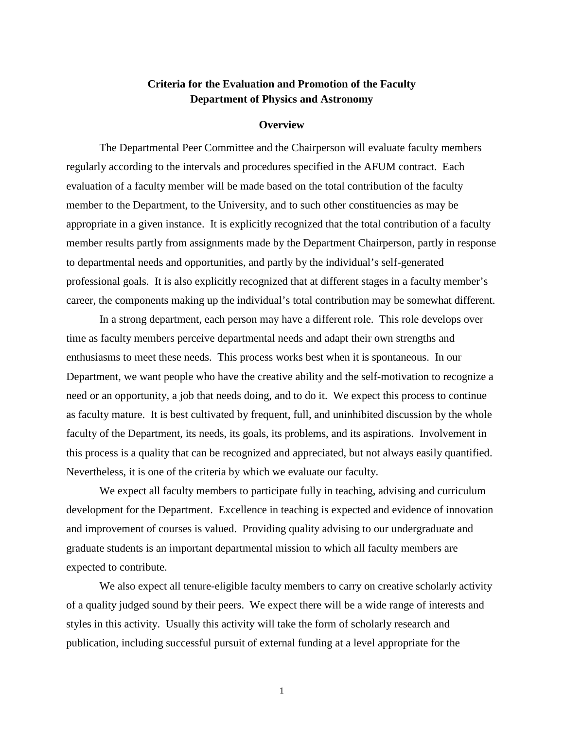## **Criteria for the Evaluation and Promotion of the Faculty Department of Physics and Astronomy**

#### **Overview**

The Departmental Peer Committee and the Chairperson will evaluate faculty members regularly according to the intervals and procedures specified in the AFUM contract. Each evaluation of a faculty member will be made based on the total contribution of the faculty member to the Department, to the University, and to such other constituencies as may be appropriate in a given instance. It is explicitly recognized that the total contribution of a faculty member results partly from assignments made by the Department Chairperson, partly in response to departmental needs and opportunities, and partly by the individual's self-generated professional goals. It is also explicitly recognized that at different stages in a faculty member's career, the components making up the individual's total contribution may be somewhat different.

In a strong department, each person may have a different role. This role develops over time as faculty members perceive departmental needs and adapt their own strengths and enthusiasms to meet these needs. This process works best when it is spontaneous. In our Department, we want people who have the creative ability and the self-motivation to recognize a need or an opportunity, a job that needs doing, and to do it. We expect this process to continue as faculty mature. It is best cultivated by frequent, full, and uninhibited discussion by the whole faculty of the Department, its needs, its goals, its problems, and its aspirations. Involvement in this process is a quality that can be recognized and appreciated, but not always easily quantified. Nevertheless, it is one of the criteria by which we evaluate our faculty.

We expect all faculty members to participate fully in teaching, advising and curriculum development for the Department. Excellence in teaching is expected and evidence of innovation and improvement of courses is valued. Providing quality advising to our undergraduate and graduate students is an important departmental mission to which all faculty members are expected to contribute.

We also expect all tenure-eligible faculty members to carry on creative scholarly activity of a quality judged sound by their peers. We expect there will be a wide range of interests and styles in this activity. Usually this activity will take the form of scholarly research and publication, including successful pursuit of external funding at a level appropriate for the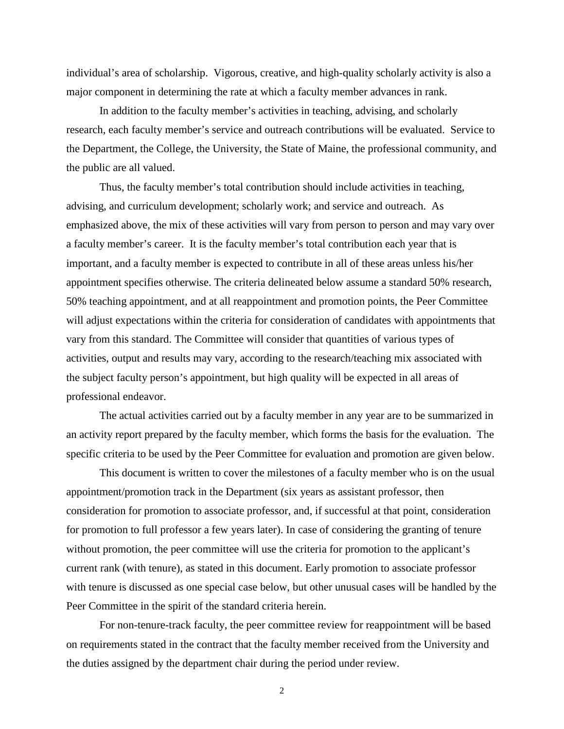individual's area of scholarship. Vigorous, creative, and high-quality scholarly activity is also a major component in determining the rate at which a faculty member advances in rank.

In addition to the faculty member's activities in teaching, advising, and scholarly research, each faculty member's service and outreach contributions will be evaluated. Service to the Department, the College, the University, the State of Maine, the professional community, and the public are all valued.

Thus, the faculty member's total contribution should include activities in teaching, advising, and curriculum development; scholarly work; and service and outreach. As emphasized above, the mix of these activities will vary from person to person and may vary over a faculty member's career. It is the faculty member's total contribution each year that is important, and a faculty member is expected to contribute in all of these areas unless his/her appointment specifies otherwise. The criteria delineated below assume a standard 50% research, 50% teaching appointment, and at all reappointment and promotion points, the Peer Committee will adjust expectations within the criteria for consideration of candidates with appointments that vary from this standard. The Committee will consider that quantities of various types of activities, output and results may vary, according to the research/teaching mix associated with the subject faculty person's appointment, but high quality will be expected in all areas of professional endeavor.

The actual activities carried out by a faculty member in any year are to be summarized in an activity report prepared by the faculty member, which forms the basis for the evaluation. The specific criteria to be used by the Peer Committee for evaluation and promotion are given below.

This document is written to cover the milestones of a faculty member who is on the usual appointment/promotion track in the Department (six years as assistant professor, then consideration for promotion to associate professor, and, if successful at that point, consideration for promotion to full professor a few years later). In case of considering the granting of tenure without promotion, the peer committee will use the criteria for promotion to the applicant's current rank (with tenure), as stated in this document. Early promotion to associate professor with tenure is discussed as one special case below, but other unusual cases will be handled by the Peer Committee in the spirit of the standard criteria herein.

For non-tenure-track faculty, the peer committee review for reappointment will be based on requirements stated in the contract that the faculty member received from the University and the duties assigned by the department chair during the period under review.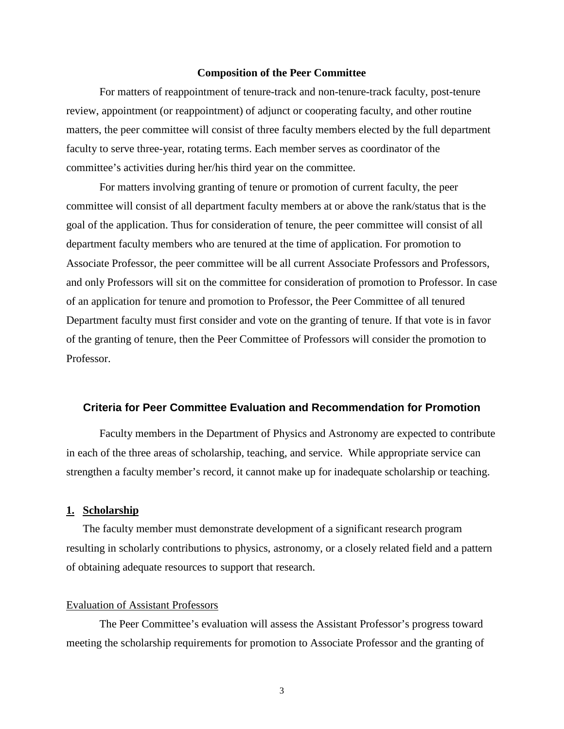#### **Composition of the Peer Committee**

For matters of reappointment of tenure-track and non-tenure-track faculty, post-tenure review, appointment (or reappointment) of adjunct or cooperating faculty, and other routine matters, the peer committee will consist of three faculty members elected by the full department faculty to serve three-year, rotating terms. Each member serves as coordinator of the committee's activities during her/his third year on the committee.

For matters involving granting of tenure or promotion of current faculty, the peer committee will consist of all department faculty members at or above the rank/status that is the goal of the application. Thus for consideration of tenure, the peer committee will consist of all department faculty members who are tenured at the time of application. For promotion to Associate Professor, the peer committee will be all current Associate Professors and Professors, and only Professors will sit on the committee for consideration of promotion to Professor. In case of an application for tenure and promotion to Professor, the Peer Committee of all tenured Department faculty must first consider and vote on the granting of tenure. If that vote is in favor of the granting of tenure, then the Peer Committee of Professors will consider the promotion to Professor.

#### **Criteria for Peer Committee Evaluation and Recommendation for Promotion**

 Faculty members in the Department of Physics and Astronomy are expected to contribute in each of the three areas of scholarship, teaching, and service. While appropriate service can strengthen a faculty member's record, it cannot make up for inadequate scholarship or teaching.

#### **1. Scholarship**

The faculty member must demonstrate development of a significant research program resulting in scholarly contributions to physics, astronomy, or a closely related field and a pattern of obtaining adequate resources to support that research.

#### Evaluation of Assistant Professors

The Peer Committee's evaluation will assess the Assistant Professor's progress toward meeting the scholarship requirements for promotion to Associate Professor and the granting of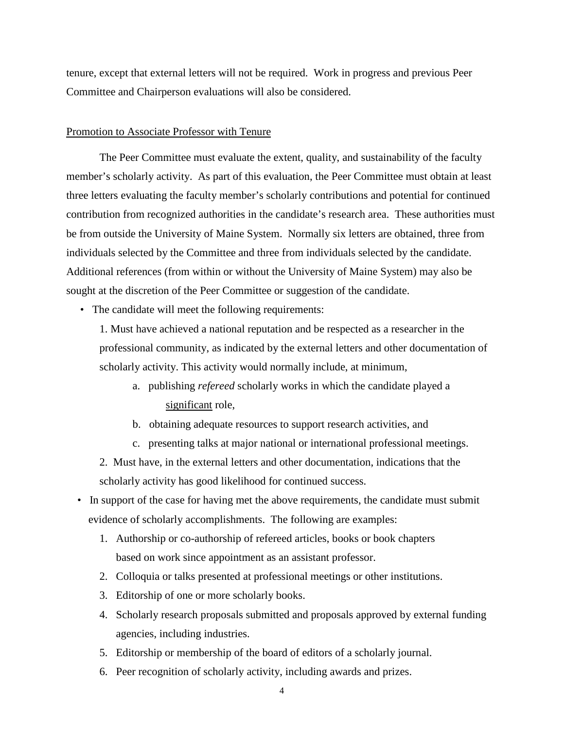tenure, except that external letters will not be required. Work in progress and previous Peer Committee and Chairperson evaluations will also be considered.

### Promotion to Associate Professor with Tenure

The Peer Committee must evaluate the extent, quality, and sustainability of the faculty member's scholarly activity. As part of this evaluation, the Peer Committee must obtain at least three letters evaluating the faculty member's scholarly contributions and potential for continued contribution from recognized authorities in the candidate's research area. These authorities must be from outside the University of Maine System. Normally six letters are obtained, three from individuals selected by the Committee and three from individuals selected by the candidate. Additional references (from within or without the University of Maine System) may also be sought at the discretion of the Peer Committee or suggestion of the candidate.

• The candidate will meet the following requirements:

1. Must have achieved a national reputation and be respected as a researcher in the professional community, as indicated by the external letters and other documentation of scholarly activity. This activity would normally include, at minimum,

- a. publishing *refereed* scholarly works in which the candidate played a significant role,
- b. obtaining adequate resources to support research activities, and
- c. presenting talks at major national or international professional meetings.
- 2. Must have, in the external letters and other documentation, indications that the scholarly activity has good likelihood for continued success.
- In support of the case for having met the above requirements, the candidate must submit evidence of scholarly accomplishments. The following are examples:
	- 1. Authorship or co-authorship of refereed articles, books or book chapters based on work since appointment as an assistant professor.
	- 2. Colloquia or talks presented at professional meetings or other institutions.
	- 3. Editorship of one or more scholarly books.
	- 4. Scholarly research proposals submitted and proposals approved by external funding agencies, including industries.
	- 5. Editorship or membership of the board of editors of a scholarly journal.
	- 6. Peer recognition of scholarly activity, including awards and prizes.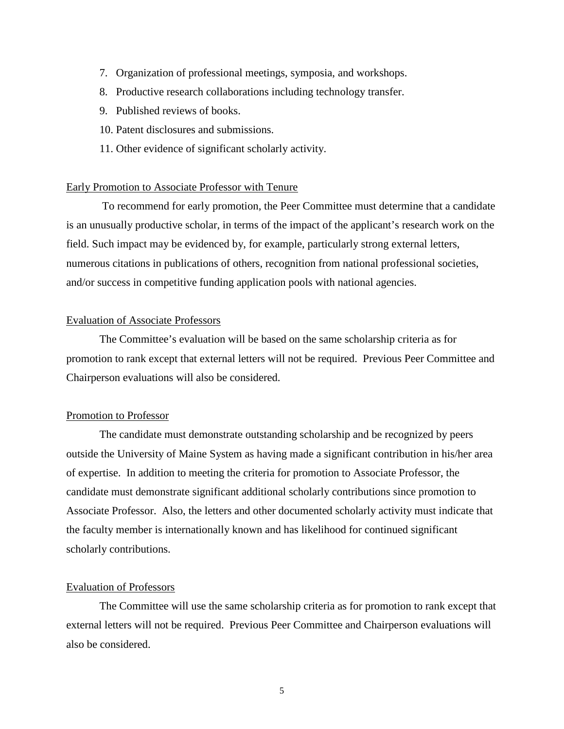- 7. Organization of professional meetings, symposia, and workshops.
- 8. Productive research collaborations including technology transfer.
- 9. Published reviews of books.
- 10. Patent disclosures and submissions.
- 11. Other evidence of significant scholarly activity.

#### Early Promotion to Associate Professor with Tenure

 To recommend for early promotion, the Peer Committee must determine that a candidate is an unusually productive scholar, in terms of the impact of the applicant's research work on the field. Such impact may be evidenced by, for example, particularly strong external letters, numerous citations in publications of others, recognition from national professional societies, and/or success in competitive funding application pools with national agencies.

### Evaluation of Associate Professors

The Committee's evaluation will be based on the same scholarship criteria as for promotion to rank except that external letters will not be required. Previous Peer Committee and Chairperson evaluations will also be considered.

## Promotion to Professor

The candidate must demonstrate outstanding scholarship and be recognized by peers outside the University of Maine System as having made a significant contribution in his/her area of expertise. In addition to meeting the criteria for promotion to Associate Professor, the candidate must demonstrate significant additional scholarly contributions since promotion to Associate Professor. Also, the letters and other documented scholarly activity must indicate that the faculty member is internationally known and has likelihood for continued significant scholarly contributions.

## Evaluation of Professors

The Committee will use the same scholarship criteria as for promotion to rank except that external letters will not be required. Previous Peer Committee and Chairperson evaluations will also be considered.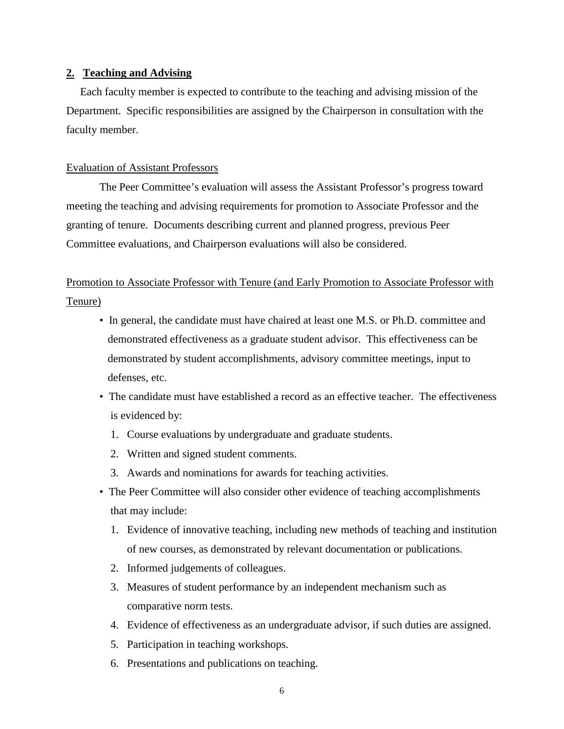## **2. Teaching and Advising**

 Each faculty member is expected to contribute to the teaching and advising mission of the Department. Specific responsibilities are assigned by the Chairperson in consultation with the faculty member.

## Evaluation of Assistant Professors

The Peer Committee's evaluation will assess the Assistant Professor's progress toward meeting the teaching and advising requirements for promotion to Associate Professor and the granting of tenure. Documents describing current and planned progress, previous Peer Committee evaluations, and Chairperson evaluations will also be considered.

# Promotion to Associate Professor with Tenure (and Early Promotion to Associate Professor with Tenure)

- In general, the candidate must have chaired at least one M.S. or Ph.D. committee and demonstrated effectiveness as a graduate student advisor. This effectiveness can be demonstrated by student accomplishments, advisory committee meetings, input to defenses, etc.
- The candidate must have established a record as an effective teacher. The effectiveness is evidenced by:
	- 1. Course evaluations by undergraduate and graduate students.
	- 2. Written and signed student comments.
	- 3. Awards and nominations for awards for teaching activities.
- The Peer Committee will also consider other evidence of teaching accomplishments that may include:
	- 1. Evidence of innovative teaching, including new methods of teaching and institution of new courses, as demonstrated by relevant documentation or publications.
	- 2. Informed judgements of colleagues.
	- 3. Measures of student performance by an independent mechanism such as comparative norm tests.
	- 4. Evidence of effectiveness as an undergraduate advisor, if such duties are assigned.
	- 5. Participation in teaching workshops.
	- 6. Presentations and publications on teaching.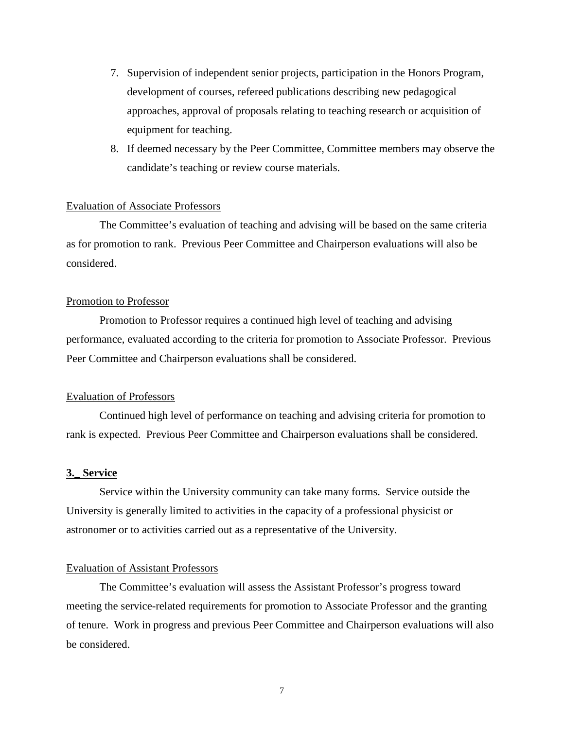- 7. Supervision of independent senior projects, participation in the Honors Program, development of courses, refereed publications describing new pedagogical approaches, approval of proposals relating to teaching research or acquisition of equipment for teaching.
- 8. If deemed necessary by the Peer Committee, Committee members may observe the candidate's teaching or review course materials.

## Evaluation of Associate Professors

The Committee's evaluation of teaching and advising will be based on the same criteria as for promotion to rank. Previous Peer Committee and Chairperson evaluations will also be considered.

#### Promotion to Professor

Promotion to Professor requires a continued high level of teaching and advising performance, evaluated according to the criteria for promotion to Associate Professor. Previous Peer Committee and Chairperson evaluations shall be considered.

## Evaluation of Professors

Continued high level of performance on teaching and advising criteria for promotion to rank is expected. Previous Peer Committee and Chairperson evaluations shall be considered.

## **3.\_ Service**

Service within the University community can take many forms. Service outside the University is generally limited to activities in the capacity of a professional physicist or astronomer or to activities carried out as a representative of the University.

#### Evaluation of Assistant Professors

The Committee's evaluation will assess the Assistant Professor's progress toward meeting the service-related requirements for promotion to Associate Professor and the granting of tenure. Work in progress and previous Peer Committee and Chairperson evaluations will also be considered.